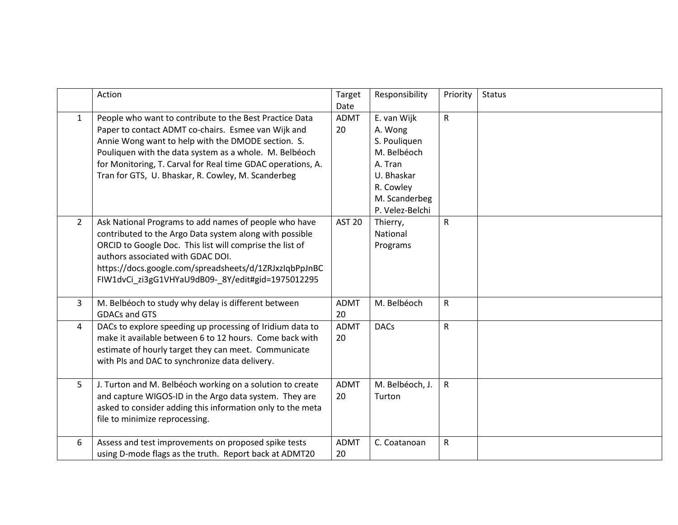|                | Action                                                      | Target        | Responsibility  | Priority     | <b>Status</b> |
|----------------|-------------------------------------------------------------|---------------|-----------------|--------------|---------------|
|                |                                                             | Date          |                 |              |               |
|                |                                                             |               |                 |              |               |
| $\mathbf{1}$   | People who want to contribute to the Best Practice Data     | <b>ADMT</b>   | E. van Wijk     | $\mathsf{R}$ |               |
|                | Paper to contact ADMT co-chairs. Esmee van Wijk and         | 20            | A. Wong         |              |               |
|                | Annie Wong want to help with the DMODE section. S.          |               | S. Pouliquen    |              |               |
|                | Pouliquen with the data system as a whole. M. Belbéoch      |               | M. Belbéoch     |              |               |
|                | for Monitoring, T. Carval for Real time GDAC operations, A. |               | A. Tran         |              |               |
|                | Tran for GTS, U. Bhaskar, R. Cowley, M. Scanderbeg          |               | U. Bhaskar      |              |               |
|                |                                                             |               | R. Cowley       |              |               |
|                |                                                             |               | M. Scanderbeg   |              |               |
|                |                                                             |               | P. Velez-Belchi |              |               |
| $\overline{2}$ | Ask National Programs to add names of people who have       | <b>AST 20</b> | Thierry,        | ${\sf R}$    |               |
|                | contributed to the Argo Data system along with possible     |               | National        |              |               |
|                | ORCID to Google Doc. This list will comprise the list of    |               | Programs        |              |               |
|                | authors associated with GDAC DOI.                           |               |                 |              |               |
|                | https://docs.google.com/spreadsheets/d/1ZRJxzIqbPpJnBC      |               |                 |              |               |
|                |                                                             |               |                 |              |               |
|                | FIW1dvCi_zi3gG1VHYaU9dB09-_8Y/edit#gid=1975012295           |               |                 |              |               |
|                |                                                             |               |                 |              |               |
| 3              | M. Belbéoch to study why delay is different between         | <b>ADMT</b>   | M. Belbéoch     | $\mathsf{R}$ |               |
|                | <b>GDACs and GTS</b>                                        | 20            |                 |              |               |
| 4              | DACs to explore speeding up processing of Iridium data to   | <b>ADMT</b>   | <b>DACs</b>     | $\mathsf{R}$ |               |
|                | make it available between 6 to 12 hours. Come back with     | 20            |                 |              |               |
|                | estimate of hourly target they can meet. Communicate        |               |                 |              |               |
|                | with PIs and DAC to synchronize data delivery.              |               |                 |              |               |
|                |                                                             |               |                 |              |               |
| 5 <sub>1</sub> | J. Turton and M. Belbéoch working on a solution to create   | <b>ADMT</b>   | M. Belbéoch, J. | $\mathsf{R}$ |               |
|                | and capture WIGOS-ID in the Argo data system. They are      | 20            | Turton          |              |               |
|                | asked to consider adding this information only to the meta  |               |                 |              |               |
|                | file to minimize reprocessing.                              |               |                 |              |               |
|                |                                                             |               |                 |              |               |
| 6              | Assess and test improvements on proposed spike tests        | <b>ADMT</b>   | C. Coatanoan    | ${\sf R}$    |               |
|                | using D-mode flags as the truth. Report back at ADMT20      | 20            |                 |              |               |
|                |                                                             |               |                 |              |               |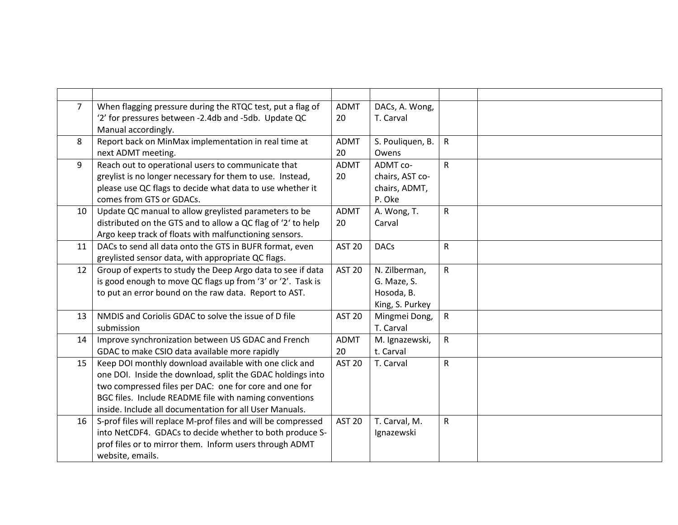| $\overline{7}$  | When flagging pressure during the RTQC test, put a flag of    | <b>ADMT</b>   | DACs, A. Wong,   |              |  |
|-----------------|---------------------------------------------------------------|---------------|------------------|--------------|--|
|                 | '2' for pressures between -2.4db and -5db. Update QC          | 20            | T. Carval        |              |  |
|                 | Manual accordingly.                                           |               |                  |              |  |
| 8               | Report back on MinMax implementation in real time at          | <b>ADMT</b>   | S. Pouliquen, B. | $\mathsf{R}$ |  |
|                 | next ADMT meeting.                                            | 20            | Owens            |              |  |
| 9               | Reach out to operational users to communicate that            | <b>ADMT</b>   | ADMT co-         | $\mathsf{R}$ |  |
|                 | greylist is no longer necessary for them to use. Instead,     | 20            | chairs, AST co-  |              |  |
|                 | please use QC flags to decide what data to use whether it     |               | chairs, ADMT,    |              |  |
|                 | comes from GTS or GDACs.                                      |               | P. Oke           |              |  |
| 10 <sup>°</sup> | Update QC manual to allow greylisted parameters to be         | <b>ADMT</b>   | A. Wong, T.      | $\mathsf{R}$ |  |
|                 | distributed on the GTS and to allow a QC flag of '2' to help  | 20            | Carval           |              |  |
|                 | Argo keep track of floats with malfunctioning sensors.        |               |                  |              |  |
| 11              | DACs to send all data onto the GTS in BUFR format, even       | <b>AST 20</b> | <b>DACs</b>      | $\mathsf R$  |  |
|                 | greylisted sensor data, with appropriate QC flags.            |               |                  |              |  |
| 12              | Group of experts to study the Deep Argo data to see if data   | <b>AST 20</b> | N. Zilberman,    | $\mathsf{R}$ |  |
|                 | is good enough to move QC flags up from '3' or '2'. Task is   |               | G. Maze, S.      |              |  |
|                 | to put an error bound on the raw data. Report to AST.         |               | Hosoda, B.       |              |  |
|                 |                                                               |               | King, S. Purkey  |              |  |
| 13              | NMDIS and Coriolis GDAC to solve the issue of D file          | <b>AST 20</b> | Mingmei Dong,    | $\mathsf{R}$ |  |
|                 | submission                                                    |               | T. Carval        |              |  |
| 14              | Improve synchronization between US GDAC and French            | <b>ADMT</b>   | M. Ignazewski,   | $\mathsf{R}$ |  |
|                 | GDAC to make CSIO data available more rapidly                 | 20            | t. Carval        |              |  |
| 15              | Keep DOI monthly download available with one click and        | <b>AST 20</b> | T. Carval        | $\mathsf{R}$ |  |
|                 | one DOI. Inside the download, split the GDAC holdings into    |               |                  |              |  |
|                 | two compressed files per DAC: one for core and one for        |               |                  |              |  |
|                 | BGC files. Include README file with naming conventions        |               |                  |              |  |
|                 | inside. Include all documentation for all User Manuals.       |               |                  |              |  |
| 16              | S-prof files will replace M-prof files and will be compressed | <b>AST 20</b> | T. Carval, M.    | $\mathsf{R}$ |  |
|                 | into NetCDF4. GDACs to decide whether to both produce S-      |               | Ignazewski       |              |  |
|                 | prof files or to mirror them. Inform users through ADMT       |               |                  |              |  |
|                 | website, emails.                                              |               |                  |              |  |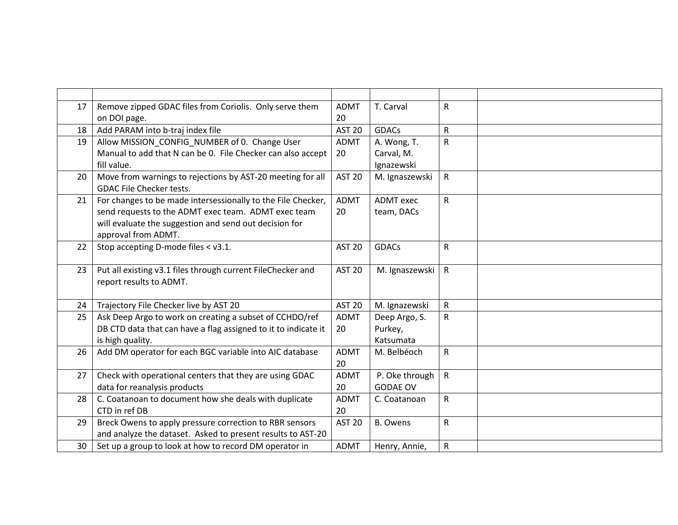| 17 | Remove zipped GDAC files from Coriolis. Only serve them        | <b>ADMT</b>   | T. Carval        | ${\sf R}$    |  |
|----|----------------------------------------------------------------|---------------|------------------|--------------|--|
|    | on DOI page.                                                   | 20            |                  |              |  |
| 18 | Add PARAM into b-traj index file                               | <b>AST 20</b> | <b>GDACs</b>     | $\mathsf{R}$ |  |
| 19 | Allow MISSION_CONFIG_NUMBER of 0. Change User                  | <b>ADMT</b>   | A. Wong, T.      | $\mathsf R$  |  |
|    | Manual to add that N can be 0. File Checker can also accept    | 20            | Carval, M.       |              |  |
|    | fill value.                                                    |               | Ignazewski       |              |  |
| 20 | Move from warnings to rejections by AST-20 meeting for all     | <b>AST 20</b> | M. Ignaszewski   | $\mathsf{R}$ |  |
|    | <b>GDAC File Checker tests.</b>                                |               |                  |              |  |
| 21 | For changes to be made intersessionally to the File Checker,   | <b>ADMT</b>   | <b>ADMT</b> exec | $\mathsf{R}$ |  |
|    | send requests to the ADMT exec team. ADMT exec team            | 20            | team, DACs       |              |  |
|    | will evaluate the suggestion and send out decision for         |               |                  |              |  |
|    | approval from ADMT.                                            |               |                  |              |  |
| 22 | Stop accepting D-mode files < v3.1.                            | <b>AST 20</b> | <b>GDACs</b>     | $\mathsf{R}$ |  |
|    |                                                                |               |                  |              |  |
| 23 | Put all existing v3.1 files through current FileChecker and    | <b>AST 20</b> | M. Ignaszewski   | $\mathsf{R}$ |  |
|    | report results to ADMT.                                        |               |                  |              |  |
|    |                                                                |               |                  |              |  |
| 24 | Trajectory File Checker live by AST 20                         | <b>AST 20</b> | M. Ignazewski    | $\mathsf{R}$ |  |
| 25 | Ask Deep Argo to work on creating a subset of CCHDO/ref        | <b>ADMT</b>   | Deep Argo, S.    | $\mathsf{R}$ |  |
|    | DB CTD data that can have a flag assigned to it to indicate it | 20            | Purkey,          |              |  |
|    | is high quality.                                               |               | Katsumata        |              |  |
| 26 | Add DM operator for each BGC variable into AIC database        | <b>ADMT</b>   | M. Belbéoch      | $\mathsf{R}$ |  |
|    |                                                                | 20            |                  |              |  |
| 27 | Check with operational centers that they are using GDAC        | <b>ADMT</b>   | P. Oke through   | ${\sf R}$    |  |
|    | data for reanalysis products                                   | 20            | <b>GODAE OV</b>  |              |  |
| 28 | C. Coatanoan to document how she deals with duplicate          | <b>ADMT</b>   | C. Coatanoan     | $\mathsf{R}$ |  |
|    | CTD in ref DB                                                  | 20            |                  |              |  |
| 29 | Breck Owens to apply pressure correction to RBR sensors        | <b>AST 20</b> | <b>B.</b> Owens  | $\mathsf{R}$ |  |
|    | and analyze the dataset. Asked to present results to AST-20    |               |                  |              |  |
| 30 | Set up a group to look at how to record DM operator in         | <b>ADMT</b>   | Henry, Annie,    | ${\sf R}$    |  |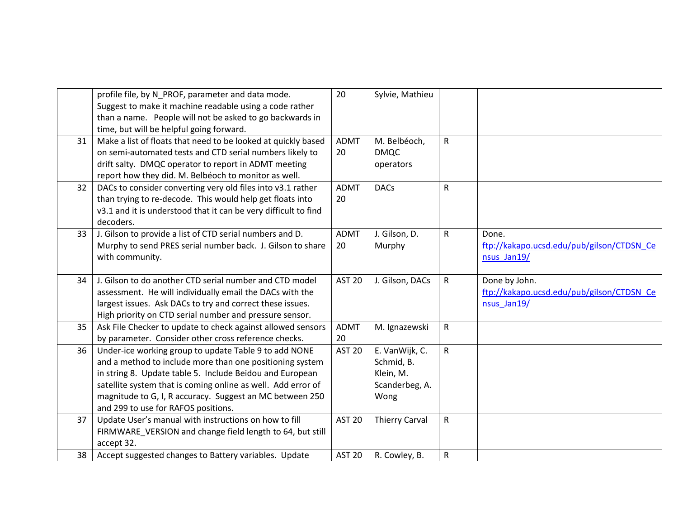|    | profile file, by N PROF, parameter and data mode.               | 20            | Sylvie, Mathieu       |              |                                           |
|----|-----------------------------------------------------------------|---------------|-----------------------|--------------|-------------------------------------------|
|    | Suggest to make it machine readable using a code rather         |               |                       |              |                                           |
|    | than a name. People will not be asked to go backwards in        |               |                       |              |                                           |
|    | time, but will be helpful going forward.                        |               |                       |              |                                           |
| 31 | Make a list of floats that need to be looked at quickly based   | <b>ADMT</b>   | M. Belbéoch,          | $\mathsf{R}$ |                                           |
|    | on semi-automated tests and CTD serial numbers likely to        | 20            | <b>DMQC</b>           |              |                                           |
|    | drift salty. DMQC operator to report in ADMT meeting            |               | operators             |              |                                           |
|    | report how they did. M. Belbéoch to monitor as well.            |               |                       |              |                                           |
| 32 | DACs to consider converting very old files into v3.1 rather     | <b>ADMT</b>   | <b>DACs</b>           | $\mathsf{R}$ |                                           |
|    | than trying to re-decode. This would help get floats into       | 20            |                       |              |                                           |
|    | v3.1 and it is understood that it can be very difficult to find |               |                       |              |                                           |
|    | decoders.                                                       |               |                       |              |                                           |
| 33 | J. Gilson to provide a list of CTD serial numbers and D.        | <b>ADMT</b>   | J. Gilson, D.         | $\mathsf{R}$ | Done.                                     |
|    | Murphy to send PRES serial number back. J. Gilson to share      | 20            | Murphy                |              | ftp://kakapo.ucsd.edu/pub/gilson/CTDSN Ce |
|    | with community.                                                 |               |                       |              | nsus_Jan19/                               |
|    |                                                                 |               |                       |              |                                           |
| 34 | J. Gilson to do another CTD serial number and CTD model         | <b>AST 20</b> | J. Gilson, DACs       | $\mathsf{R}$ | Done by John.                             |
|    | assessment. He will individually email the DACs with the        |               |                       |              | ftp://kakapo.ucsd.edu/pub/gilson/CTDSN Ce |
|    | largest issues. Ask DACs to try and correct these issues.       |               |                       |              | nsus Jan19/                               |
|    | High priority on CTD serial number and pressure sensor.         |               |                       |              |                                           |
| 35 | Ask File Checker to update to check against allowed sensors     | <b>ADMT</b>   | M. Ignazewski         | $\mathsf{R}$ |                                           |
|    | by parameter. Consider other cross reference checks.            | 20            |                       |              |                                           |
| 36 | Under-ice working group to update Table 9 to add NONE           | <b>AST 20</b> | E. VanWijk, C.        | $\mathsf{R}$ |                                           |
|    | and a method to include more than one positioning system        |               | Schmid, B.            |              |                                           |
|    | in string 8. Update table 5. Include Beidou and European        |               | Klein, M.             |              |                                           |
|    | satellite system that is coming online as well. Add error of    |               | Scanderbeg, A.        |              |                                           |
|    | magnitude to G, I, R accuracy. Suggest an MC between 250        |               | Wong                  |              |                                           |
|    | and 299 to use for RAFOS positions.                             |               |                       |              |                                           |
| 37 | Update User's manual with instructions on how to fill           | <b>AST 20</b> | <b>Thierry Carval</b> | $\mathsf{R}$ |                                           |
|    | FIRMWARE VERSION and change field length to 64, but still       |               |                       |              |                                           |
|    | accept 32.                                                      |               |                       |              |                                           |
| 38 | Accept suggested changes to Battery variables. Update           | <b>AST 20</b> | R. Cowley, B.         | ${\sf R}$    |                                           |